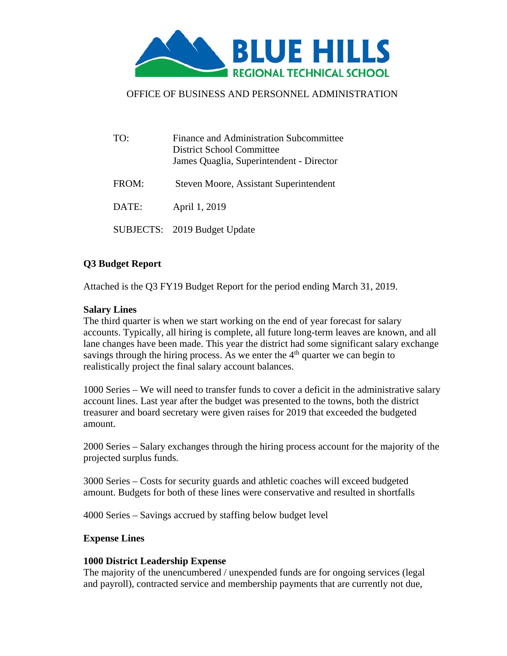

# OFFICE OF BUSINESS AND PERSONNEL ADMINISTRATION

| TO:   | Finance and Administration Subcommittee<br>District School Committee<br>James Quaglia, Superintendent - Director |
|-------|------------------------------------------------------------------------------------------------------------------|
| FROM: | Steven Moore, Assistant Superintendent                                                                           |
| DATE: | April 1, 2019                                                                                                    |
|       | SUBJECTS: 2019 Budget Update                                                                                     |

# **Q3 Budget Report**

Attached is the Q3 FY19 Budget Report for the period ending March 31, 2019.

## **Salary Lines**

The third quarter is when we start working on the end of year forecast for salary accounts. Typically, all hiring is complete, all future long-term leaves are known, and all lane changes have been made. This year the district had some significant salary exchange savings through the hiring process. As we enter the  $4<sup>th</sup>$  quarter we can begin to realistically project the final salary account balances.

1000 Series – We will need to transfer funds to cover a deficit in the administrative salary account lines. Last year after the budget was presented to the towns, both the district treasurer and board secretary were given raises for 2019 that exceeded the budgeted amount.

2000 Series – Salary exchanges through the hiring process account for the majority of the projected surplus funds.

3000 Series – Costs for security guards and athletic coaches will exceed budgeted amount. Budgets for both of these lines were conservative and resulted in shortfalls

4000 Series – Savings accrued by staffing below budget level

## **Expense Lines**

## **1000 District Leadership Expense**

The majority of the unencumbered / unexpended funds are for ongoing services (legal and payroll), contracted service and membership payments that are currently not due,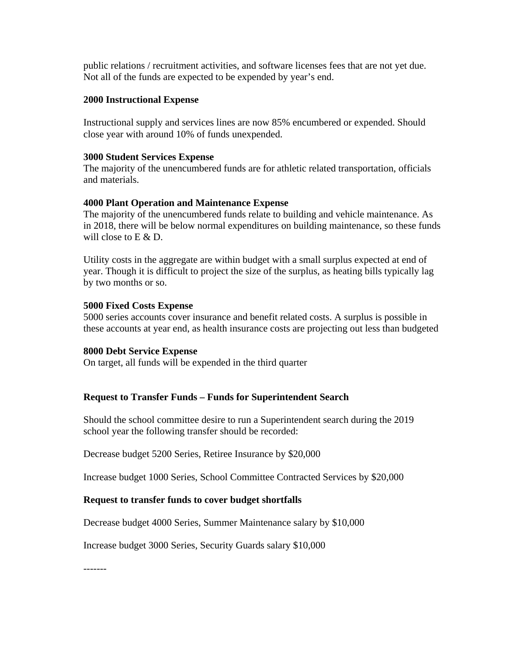public relations / recruitment activities, and software licenses fees that are not yet due. Not all of the funds are expected to be expended by year's end.

### **2000 Instructional Expense**

Instructional supply and services lines are now 85% encumbered or expended. Should close year with around 10% of funds unexpended.

#### **3000 Student Services Expense**

The majority of the unencumbered funds are for athletic related transportation, officials and materials.

#### **4000 Plant Operation and Maintenance Expense**

The majority of the unencumbered funds relate to building and vehicle maintenance. As in 2018, there will be below normal expenditures on building maintenance, so these funds will close to E & D.

Utility costs in the aggregate are within budget with a small surplus expected at end of year. Though it is difficult to project the size of the surplus, as heating bills typically lag by two months or so.

#### **5000 Fixed Costs Expense**

5000 series accounts cover insurance and benefit related costs. A surplus is possible in these accounts at year end, as health insurance costs are projecting out less than budgeted

#### **8000 Debt Service Expense**

On target, all funds will be expended in the third quarter

## **Request to Transfer Funds – Funds for Superintendent Search**

Should the school committee desire to run a Superintendent search during the 2019 school year the following transfer should be recorded:

Decrease budget 5200 Series, Retiree Insurance by \$20,000

Increase budget 1000 Series, School Committee Contracted Services by \$20,000

## **Request to transfer funds to cover budget shortfalls**

Decrease budget 4000 Series, Summer Maintenance salary by \$10,000

Increase budget 3000 Series, Security Guards salary \$10,000

-------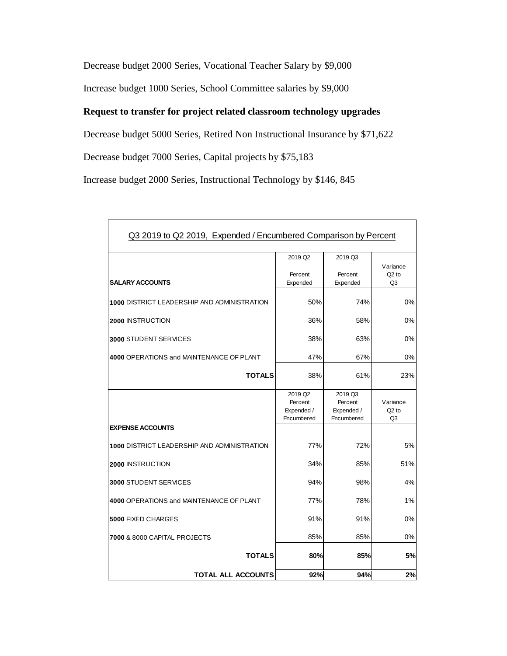Decrease budget 2000 Series, Vocational Teacher Salary by \$9,000

Increase budget 1000 Series, School Committee salaries by \$9,000

# **Request to transfer for project related classroom technology upgrades**

Decrease budget 5000 Series, Retired Non Instructional Insurance by \$71,622

Decrease budget 7000 Series, Capital projects by \$75,183

Increase budget 2000 Series, Instructional Technology by \$146, 845

| Q3 2019 to Q2 2019, Expended / Encumbered Comparison by Percent |                                                            |                                                |                                       |  |
|-----------------------------------------------------------------|------------------------------------------------------------|------------------------------------------------|---------------------------------------|--|
|                                                                 | 2019 Q <sub>2</sub>                                        | 2019 Q3                                        | Variance                              |  |
| <b>SALARY ACCOUNTS</b>                                          | Percent<br>Expended                                        | Percent<br>Expended                            | $Q2$ to<br>Q <sub>3</sub>             |  |
| 1000 DISTRICT LEADERSHIP AND ADMINISTRATION                     | 50%                                                        | 74%                                            | 0%                                    |  |
| <b>2000 INSTRUCTION</b>                                         | 36%<br>58%                                                 |                                                | 0%                                    |  |
| <b>3000 STUDENT SERVICES</b>                                    | 38%<br>63%                                                 |                                                | 0%                                    |  |
| 4000 OPERATIONS and MAINTENANCE OF PLANT                        | 47%                                                        | 67%                                            | 0%                                    |  |
| <b>TOTALS</b>                                                   | 38%                                                        | 61%                                            | 23%                                   |  |
|                                                                 | 2019 Q <sub>2</sub><br>Percent<br>Expended /<br>Encumbered | 2019 Q3<br>Percent<br>Expended /<br>Encumbered | Variance<br>$Q2$ to<br>Q <sub>3</sub> |  |
| <b>EXPENSE ACCOUNTS</b>                                         |                                                            |                                                |                                       |  |
| 1000 DISTRICT LEADERSHIP AND ADMINISTRATION                     | 77%                                                        | 72%                                            | 5%                                    |  |
| <b>2000 INSTRUCTION</b>                                         | 34%                                                        | 85%                                            | 51%                                   |  |
| <b>3000 STUDENT SERVICES</b>                                    | 94%                                                        | 98%                                            | 4%                                    |  |
| 4000 OPERATIONS and MAINTENANCE OF PLANT                        | 77%                                                        | 78%                                            | 1%                                    |  |
| 5000 FIXED CHARGES                                              | 91%                                                        | 91%                                            | 0%                                    |  |
| 7000 & 8000 CAPITAL PROJECTS                                    | 85%                                                        | 85%                                            | 0%                                    |  |
| <b>TOTALS</b>                                                   | 80%                                                        | 85%                                            | 5%                                    |  |
| <b>TOTAL ALL ACCOUNTS</b>                                       | 92%                                                        | 94%                                            | 2%                                    |  |